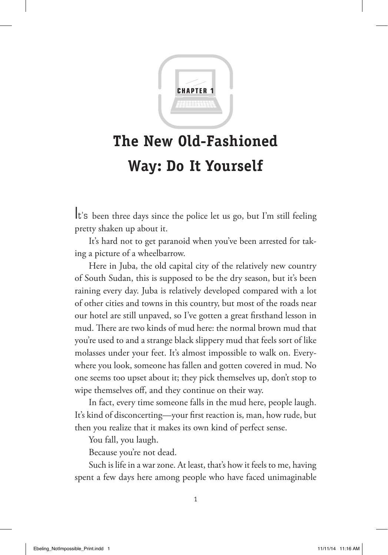

# **The New Old-Fashioned Way: Do It Yourself**

It's been three days since the police let us go, but I'm still feeling pretty shaken up about it.

It's hard not to get paranoid when you've been arrested for taking a picture of a wheelbarrow.

Here in Juba, the old capital city of the relatively new country of South Sudan, this is supposed to be the dry season, but it's been raining every day. Juba is relatively developed compared with a lot of other cities and towns in this country, but most of the roads near our hotel are still unpaved, so I've gotten a great firsthand lesson in mud. There are two kinds of mud here: the normal brown mud that you're used to and a strange black slippery mud that feels sort of like molasses under your feet. It's almost impossible to walk on. Everywhere you look, someone has fallen and gotten covered in mud. No one seems too upset about it; they pick themselves up, don't stop to wipe themselves off, and they continue on their way.

In fact, every time someone falls in the mud here, people laugh. It's kind of disconcerting—your first reaction is, man, how rude, but then you realize that it makes its own kind of perfect sense.

You fall, you laugh.

Because you're not dead.

Such is life in a war zone. At least, that's how it feels to me, having spent a few days here among people who have faced unimaginable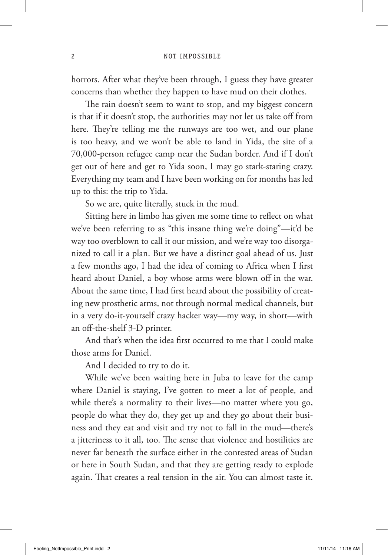horrors. After what they've been through, I guess they have greater concerns than whether they happen to have mud on their clothes.

The rain doesn't seem to want to stop, and my biggest concern is that if it doesn't stop, the authorities may not let us take off from here. They're telling me the runways are too wet, and our plane is too heavy, and we won't be able to land in Yida, the site of a 70,000-person refugee camp near the Sudan border. And if I don't get out of here and get to Yida soon, I may go stark-staring crazy. Everything my team and I have been working on for months has led up to this: the trip to Yida.

So we are, quite literally, stuck in the mud.

Sitting here in limbo has given me some time to reflect on what we've been referring to as "this insane thing we're doing"—it'd be way too overblown to call it our mission, and we're way too disorganized to call it a plan. But we have a distinct goal ahead of us. Just a few months ago, I had the idea of coming to Africa when I first heard about Daniel, a boy whose arms were blown off in the war. About the same time, I had first heard about the possibility of creating new prosthetic arms, not through normal medical channels, but in a very do-it-yourself crazy hacker way—my way, in short—with an off-the-shelf 3-D printer.

And that's when the idea first occurred to me that I could make those arms for Daniel.

And I decided to try to do it.

While we've been waiting here in Juba to leave for the camp where Daniel is staying, I've gotten to meet a lot of people, and while there's a normality to their lives—no matter where you go, people do what they do, they get up and they go about their business and they eat and visit and try not to fall in the mud—there's a jitteriness to it all, too. The sense that violence and hostilities are never far beneath the surface either in the contested areas of Sudan or here in South Sudan, and that they are getting ready to explode again. That creates a real tension in the air. You can almost taste it.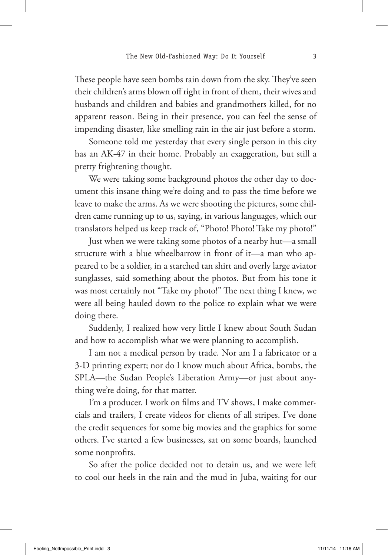These people have seen bombs rain down from the sky. They've seen their children's arms blown off right in front of them, their wives and husbands and children and babies and grandmothers killed, for no apparent reason. Being in their presence, you can feel the sense of impending disaster, like smelling rain in the air just before a storm.

Someone told me yesterday that every single person in this city has an AK-47 in their home. Probably an exaggeration, but still a pretty frightening thought.

We were taking some background photos the other day to document this insane thing we're doing and to pass the time before we leave to make the arms. As we were shooting the pictures, some children came running up to us, saying, in various languages, which our translators helped us keep track of, "Photo! Photo! Take my photo!"

Just when we were taking some photos of a nearby hut—a small structure with a blue wheelbarrow in front of it—a man who appeared to be a soldier, in a starched tan shirt and overly large aviator sunglasses, said something about the photos. But from his tone it was most certainly not "Take my photo!" The next thing I knew, we were all being hauled down to the police to explain what we were doing there.

Suddenly, I realized how very little I knew about South Sudan and how to accomplish what we were planning to accomplish.

I am not a medical person by trade. Nor am I a fabricator or a 3-D printing expert; nor do I know much about Africa, bombs, the SPLA—the Sudan People's Liberation Army—or just about anything we're doing, for that matter.

I'm a producer. I work on films and TV shows, I make commercials and trailers, I create videos for clients of all stripes. I've done the credit sequences for some big movies and the graphics for some others. I've started a few businesses, sat on some boards, launched some nonprofits.

So after the police decided not to detain us, and we were left to cool our heels in the rain and the mud in Juba, waiting for our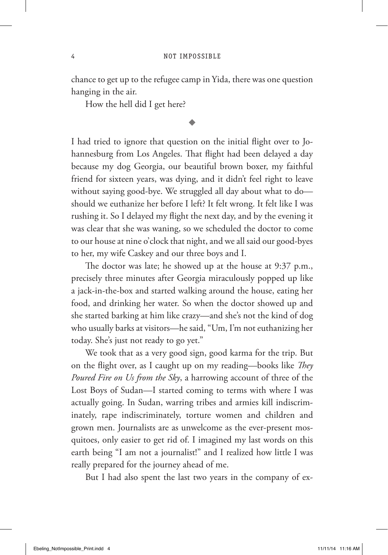chance to get up to the refugee camp in Yida, there was one question hanging in the air.

How the hell did I get here?

I had tried to ignore that question on the initial flight over to Johannesburg from Los Angeles. That flight had been delayed a day because my dog Georgia, our beautiful brown boxer, my faithful friend for sixteen years, was dying, and it didn't feel right to leave without saying good-bye. We struggled all day about what to do should we euthanize her before I left? It felt wrong. It felt like I was rushing it. So I delayed my flight the next day, and by the evening it was clear that she was waning, so we scheduled the doctor to come to our house at nine o'clock that night, and we all said our good-byes to her, my wife Caskey and our three boys and I.

The doctor was late; he showed up at the house at 9:37 p.m., precisely three minutes after Georgia miraculously popped up like a jack-in-the-box and started walking around the house, eating her food, and drinking her water. So when the doctor showed up and she started barking at him like crazy—and she's not the kind of dog who usually barks at visitors—he said, "Um, I'm not euthanizing her today. She's just not ready to go yet."

We took that as a very good sign, good karma for the trip. But on the flight over, as I caught up on my reading—books like *They Poured Fire on Us from the Sky*, a harrowing account of three of the Lost Boys of Sudan—I started coming to terms with where I was actually going. In Sudan, warring tribes and armies kill indiscriminately, rape indiscriminately, torture women and children and grown men. Journalists are as unwelcome as the ever-present mosquitoes, only easier to get rid of. I imagined my last words on this earth being "I am not a journalist!" and I realized how little I was really prepared for the journey ahead of me.

But I had also spent the last two years in the company of ex-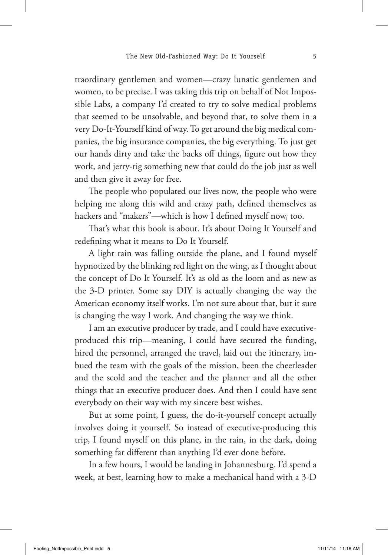traordinary gentlemen and women—crazy lunatic gentlemen and women, to be precise. I was taking this trip on behalf of Not Impossible Labs, a company I'd created to try to solve medical problems that seemed to be unsolvable, and beyond that, to solve them in a very Do-It-Yourself kind of way. To get around the big medical companies, the big insurance companies, the big everything. To just get our hands dirty and take the backs off things, figure out how they work, and jerry-rig something new that could do the job just as well and then give it away for free.

The people who populated our lives now, the people who were helping me along this wild and crazy path, defined themselves as hackers and "makers"—which is how I defined myself now, too.

That's what this book is about. It's about Doing It Yourself and redefining what it means to Do It Yourself.

A light rain was falling outside the plane, and I found myself hypnotized by the blinking red light on the wing, as I thought about the concept of Do It Yourself. It's as old as the loom and as new as the 3-D printer. Some say DIY is actually changing the way the American economy itself works. I'm not sure about that, but it sure is changing the way I work. And changing the way we think.

I am an executive producer by trade, and I could have executiveproduced this trip—meaning, I could have secured the funding, hired the personnel, arranged the travel, laid out the itinerary, imbued the team with the goals of the mission, been the cheerleader and the scold and the teacher and the planner and all the other things that an executive producer does. And then I could have sent everybody on their way with my sincere best wishes.

But at some point, I guess, the do-it-yourself concept actually involves doing it yourself. So instead of executive-producing this trip, I found myself on this plane, in the rain, in the dark, doing something far different than anything I'd ever done before.

In a few hours, I would be landing in Johannesburg. I'd spend a week, at best, learning how to make a mechanical hand with a 3-D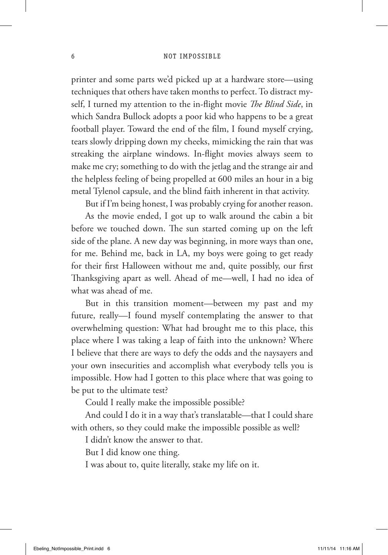printer and some parts we'd picked up at a hardware store—using techniques that others have taken months to perfect. To distract myself, I turned my attention to the in-flight movie *The Blind Side*, in which Sandra Bullock adopts a poor kid who happens to be a great football player. Toward the end of the film, I found myself crying, tears slowly dripping down my cheeks, mimicking the rain that was streaking the airplane windows. In-flight movies always seem to make me cry; something to do with the jetlag and the strange air and the helpless feeling of being propelled at 600 miles an hour in a big metal Tylenol capsule, and the blind faith inherent in that activity.

But if I'm being honest, I was probably crying for another reason.

As the movie ended, I got up to walk around the cabin a bit before we touched down. The sun started coming up on the left side of the plane. A new day was beginning, in more ways than one, for me. Behind me, back in LA, my boys were going to get ready for their first Halloween without me and, quite possibly, our first Thanksgiving apart as well. Ahead of me—well, I had no idea of what was ahead of me.

But in this transition moment—between my past and my future, really—I found myself contemplating the answer to that overwhelming question: What had brought me to this place, this place where I was taking a leap of faith into the unknown? Where I believe that there are ways to defy the odds and the naysayers and your own insecurities and accomplish what everybody tells you is impossible. How had I gotten to this place where that was going to be put to the ultimate test?

Could I really make the impossible possible?

And could I do it in a way that's translatable—that I could share with others, so they could make the impossible possible as well?

I didn't know the answer to that.

But I did know one thing.

I was about to, quite literally, stake my life on it.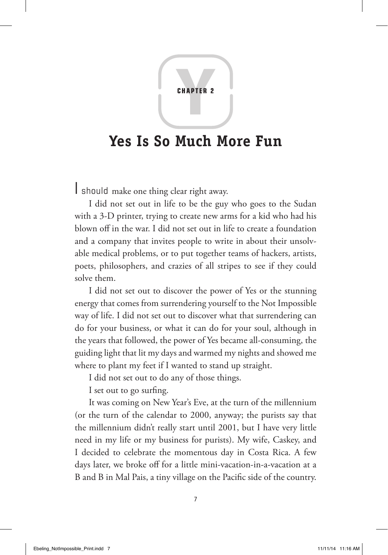

# **Yes Is So Much More Fun**

I should make one thing clear right away.

I did not set out in life to be the guy who goes to the Sudan with a 3-D printer, trying to create new arms for a kid who had his blown off in the war. I did not set out in life to create a foundation and a company that invites people to write in about their unsolvable medical problems, or to put together teams of hackers, artists, poets, philosophers, and crazies of all stripes to see if they could solve them.

I did not set out to discover the power of Yes or the stunning energy that comes from surrendering yourself to the Not Impossible way of life. I did not set out to discover what that surrendering can do for your business, or what it can do for your soul, although in the years that followed, the power of Yes became all-consuming, the guiding light that lit my days and warmed my nights and showed me where to plant my feet if I wanted to stand up straight.

I did not set out to do any of those things.

I set out to go surfing.

It was coming on New Year's Eve, at the turn of the millennium (or the turn of the calendar to 2000, anyway; the purists say that the millennium didn't really start until 2001, but I have very little need in my life or my business for purists). My wife, Caskey, and I decided to celebrate the momentous day in Costa Rica. A few days later, we broke off for a little mini-vacation-in-a-vacation at a B and B in Mal Pais, a tiny village on the Pacific side of the country.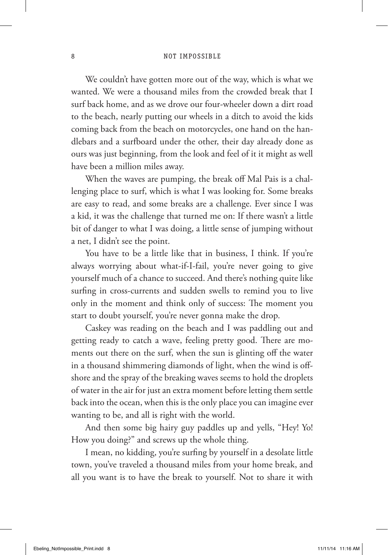We couldn't have gotten more out of the way, which is what we wanted. We were a thousand miles from the crowded break that I surf back home, and as we drove our four-wheeler down a dirt road to the beach, nearly putting our wheels in a ditch to avoid the kids coming back from the beach on motorcycles, one hand on the handlebars and a surfboard under the other, their day already done as ours was just beginning, from the look and feel of it it might as well have been a million miles away.

When the waves are pumping, the break off Mal Pais is a challenging place to surf, which is what I was looking for. Some breaks are easy to read, and some breaks are a challenge. Ever since I was a kid, it was the challenge that turned me on: If there wasn't a little bit of danger to what I was doing, a little sense of jumping without a net, I didn't see the point.

You have to be a little like that in business, I think. If you're always worrying about what-if-I-fail, you're never going to give yourself much of a chance to succeed. And there's nothing quite like surfing in cross-currents and sudden swells to remind you to live only in the moment and think only of success: The moment you start to doubt yourself, you're never gonna make the drop.

Caskey was reading on the beach and I was paddling out and getting ready to catch a wave, feeling pretty good. There are moments out there on the surf, when the sun is glinting off the water in a thousand shimmering diamonds of light, when the wind is offshore and the spray of the breaking waves seems to hold the droplets of water in the air for just an extra moment before letting them settle back into the ocean, when this is the only place you can imagine ever wanting to be, and all is right with the world.

And then some big hairy guy paddles up and yells, "Hey! Yo! How you doing?" and screws up the whole thing.

I mean, no kidding, you're surfing by yourself in a desolate little town, you've traveled a thousand miles from your home break, and all you want is to have the break to yourself. Not to share it with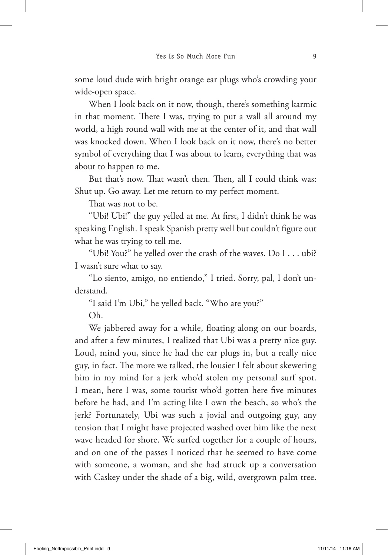some loud dude with bright orange ear plugs who's crowding your wide-open space.

When I look back on it now, though, there's something karmic in that moment. There I was, trying to put a wall all around my world, a high round wall with me at the center of it, and that wall was knocked down. When I look back on it now, there's no better symbol of everything that I was about to learn, everything that was about to happen to me.

But that's now. That wasn't then. Then, all I could think was: Shut up. Go away. Let me return to my perfect moment.

That was not to be.

"Ubi! Ubi!" the guy yelled at me. At first, I didn't think he was speaking English. I speak Spanish pretty well but couldn't figure out what he was trying to tell me.

"Ubi! You?" he yelled over the crash of the waves. Do I . . . ubi? I wasn't sure what to say.

"Lo siento, amigo, no entiendo," I tried. Sorry, pal, I don't understand.

"I said I'm Ubi," he yelled back. "Who are you?" Oh.

We jabbered away for a while, floating along on our boards, and after a few minutes, I realized that Ubi was a pretty nice guy. Loud, mind you, since he had the ear plugs in, but a really nice guy, in fact. The more we talked, the lousier I felt about skewering him in my mind for a jerk who'd stolen my personal surf spot. I mean, here I was, some tourist who'd gotten here five minutes before he had, and I'm acting like I own the beach, so who's the jerk? Fortunately, Ubi was such a jovial and outgoing guy, any tension that I might have projected washed over him like the next wave headed for shore. We surfed together for a couple of hours, and on one of the passes I noticed that he seemed to have come with someone, a woman, and she had struck up a conversation with Caskey under the shade of a big, wild, overgrown palm tree.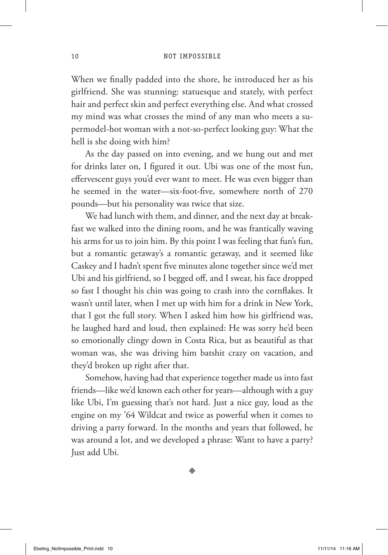When we finally padded into the shore, he introduced her as his girlfriend. She was stunning: statuesque and stately, with perfect hair and perfect skin and perfect everything else. And what crossed my mind was what crosses the mind of any man who meets a supermodel-hot woman with a not-so-perfect looking guy: What the hell is she doing with him?

As the day passed on into evening, and we hung out and met for drinks later on, I figured it out. Ubi was one of the most fun, effervescent guys you'd ever want to meet. He was even bigger than he seemed in the water—six-foot-five, somewhere north of 270 pounds—but his personality was twice that size.

We had lunch with them, and dinner, and the next day at breakfast we walked into the dining room, and he was frantically waving his arms for us to join him. By this point I was feeling that fun's fun, but a romantic getaway's a romantic getaway, and it seemed like Caskey and I hadn't spent five minutes alone together since we'd met Ubi and his girlfriend, so I begged off, and I swear, his face dropped so fast I thought his chin was going to crash into the cornflakes. It wasn't until later, when I met up with him for a drink in New York, that I got the full story. When I asked him how his girlfriend was, he laughed hard and loud, then explained: He was sorry he'd been so emotionally clingy down in Costa Rica, but as beautiful as that woman was, she was driving him batshit crazy on vacation, and they'd broken up right after that.

Somehow, having had that experience together made us into fast friends—like we'd known each other for years—although with a guy like Ubi, I'm guessing that's not hard. Just a nice guy, loud as the engine on my '64 Wildcat and twice as powerful when it comes to driving a party forward. In the months and years that followed, he was around a lot, and we developed a phrase: Want to have a party? Just add Ubi.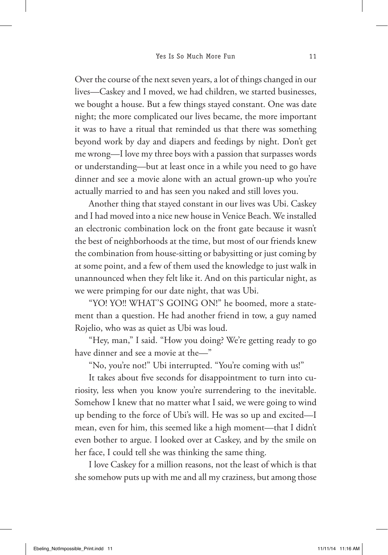Over the course of the next seven years, a lot of things changed in our lives—Caskey and I moved, we had children, we started businesses, we bought a house. But a few things stayed constant. One was date night; the more complicated our lives became, the more important it was to have a ritual that reminded us that there was something beyond work by day and diapers and feedings by night. Don't get me wrong—I love my three boys with a passion that surpasses words or understanding—but at least once in a while you need to go have dinner and see a movie alone with an actual grown-up who you're actually married to and has seen you naked and still loves you.

Another thing that stayed constant in our lives was Ubi. Caskey and I had moved into a nice new house in Venice Beach. We installed an electronic combination lock on the front gate because it wasn't the best of neighborhoods at the time, but most of our friends knew the combination from house-sitting or babysitting or just coming by at some point, and a few of them used the knowledge to just walk in unannounced when they felt like it. And on this particular night, as we were primping for our date night, that was Ubi.

"YO! YO!! WHAT'S GOING ON!" he boomed, more a statement than a question. He had another friend in tow, a guy named Rojelio, who was as quiet as Ubi was loud.

"Hey, man," I said. "How you doing? We're getting ready to go have dinner and see a movie at the—"

"No, you're not!" Ubi interrupted. "You're coming with us!"

It takes about five seconds for disappointment to turn into curiosity, less when you know you're surrendering to the inevitable. Somehow I knew that no matter what I said, we were going to wind up bending to the force of Ubi's will. He was so up and excited—I mean, even for him, this seemed like a high moment—that I didn't even bother to argue. I looked over at Caskey, and by the smile on her face, I could tell she was thinking the same thing.

I love Caskey for a million reasons, not the least of which is that she somehow puts up with me and all my craziness, but among those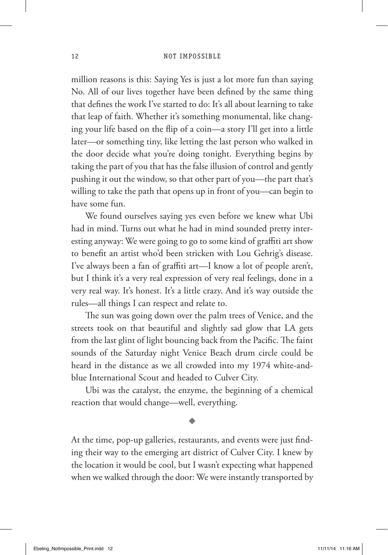million reasons is this: Saying Yes is just a lot more fun than saying No. All of our lives together have been defined by the same thing that defines the work I've started to do: It's all about learning to take that leap of faith. Whether it's something monumental, like changing your life based on the flip of a coin—a story I'll get into a little later—or something tiny, like letting the last person who walked in the door decide what you're doing tonight. Everything begins by taking the part of you that has the false illusion of control and gently pushing it out the window, so that other part of you—the part that's willing to take the path that opens up in front of you—can begin to have some fun.

We found ourselves saying yes even before we knew what Ubi had in mind. Turns out what he had in mind sounded pretty interesting anyway: We were going to go to some kind of graffiti art show to benefit an artist who'd been stricken with Lou Gehrig's disease. I've always been a fan of graffiti art—I know a lot of people aren't, but I think it's a very real expression of very real feelings, done in a very real way. It's honest. It's a little crazy. And it's way outside the rules—all things I can respect and relate to.

The sun was going down over the palm trees of Venice, and the streets took on that beautiful and slightly sad glow that LA gets from the last glint of light bouncing back from the Pacific. The faint sounds of the Saturday night Venice Beach drum circle could be heard in the distance as we all crowded into my 1974 white-andblue International Scout and headed to Culver City.

Ubi was the catalyst, the enzyme, the beginning of a chemical reaction that would change—well, everything.

At the time, pop-up galleries, restaurants, and events were just finding their way to the emerging art district of Culver City. I knew by the location it would be cool, but I wasn't expecting what happened when we walked through the door: We were instantly transported by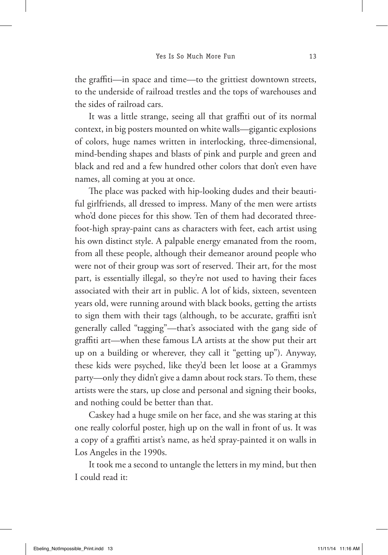the graffiti—in space and time—to the grittiest downtown streets, to the underside of railroad trestles and the tops of warehouses and the sides of railroad cars.

It was a little strange, seeing all that graffiti out of its normal context, in big posters mounted on white walls—gigantic explosions of colors, huge names written in interlocking, three-dimensional, mind-bending shapes and blasts of pink and purple and green and black and red and a few hundred other colors that don't even have names, all coming at you at once.

The place was packed with hip-looking dudes and their beautiful girlfriends, all dressed to impress. Many of the men were artists who'd done pieces for this show. Ten of them had decorated threefoot-high spray-paint cans as characters with feet, each artist using his own distinct style. A palpable energy emanated from the room, from all these people, although their demeanor around people who were not of their group was sort of reserved. Their art, for the most part, is essentially illegal, so they're not used to having their faces associated with their art in public. A lot of kids, sixteen, seventeen years old, were running around with black books, getting the artists to sign them with their tags (although, to be accurate, graffiti isn't generally called "tagging"—that's associated with the gang side of graffiti art—when these famous LA artists at the show put their art up on a building or wherever, they call it "getting up"). Anyway, these kids were psyched, like they'd been let loose at a Grammys party—only they didn't give a damn about rock stars. To them, these artists were the stars, up close and personal and signing their books, and nothing could be better than that.

Caskey had a huge smile on her face, and she was staring at this one really colorful poster, high up on the wall in front of us. It was a copy of a graffiti artist's name, as he'd spray-painted it on walls in Los Angeles in the 1990s.

It took me a second to untangle the letters in my mind, but then I could read it: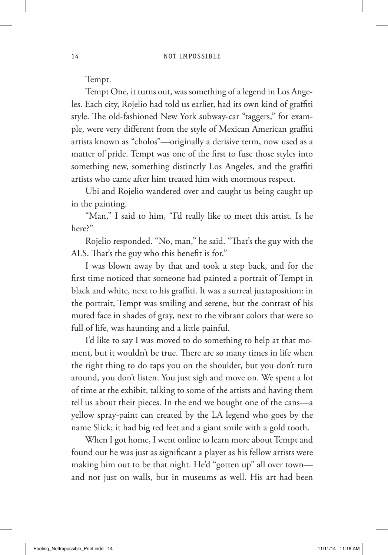Tempt.

Tempt One, it turns out, was something of a legend in Los Angeles. Each city, Rojelio had told us earlier, had its own kind of graffiti style. The old-fashioned New York subway-car "taggers," for example, were very different from the style of Mexican American graffiti artists known as "cholos"—originally a derisive term, now used as a matter of pride. Tempt was one of the first to fuse those styles into something new, something distinctly Los Angeles, and the graffiti artists who came after him treated him with enormous respect.

Ubi and Rojelio wandered over and caught us being caught up in the painting.

"Man," I said to him, "I'd really like to meet this artist. Is he here?"

Rojelio responded. "No, man," he said. "That's the guy with the ALS. That's the guy who this benefit is for."

I was blown away by that and took a step back, and for the first time noticed that someone had painted a portrait of Tempt in black and white, next to his graffiti. It was a surreal juxtaposition: in the portrait, Tempt was smiling and serene, but the contrast of his muted face in shades of gray, next to the vibrant colors that were so full of life, was haunting and a little painful.

I'd like to say I was moved to do something to help at that moment, but it wouldn't be true. There are so many times in life when the right thing to do taps you on the shoulder, but you don't turn around, you don't listen. You just sigh and move on. We spent a lot of time at the exhibit, talking to some of the artists and having them tell us about their pieces. In the end we bought one of the cans—a yellow spray-paint can created by the LA legend who goes by the name Slick; it had big red feet and a giant smile with a gold tooth.

When I got home, I went online to learn more about Tempt and found out he was just as significant a player as his fellow artists were making him out to be that night. He'd "gotten up" all over town and not just on walls, but in museums as well. His art had been